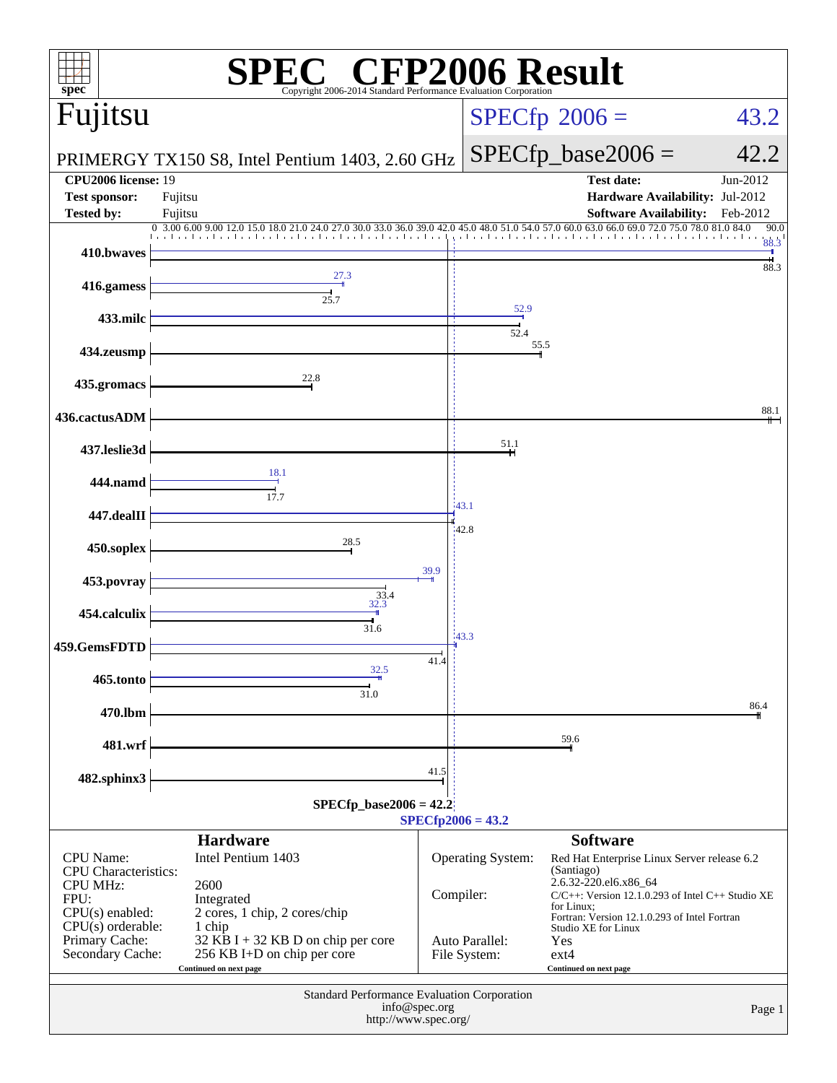| spec®                                            | <sup>®</sup> CFP2006 Result<br>Copyright 2006-2014 Standard Performance Evaluation Corporatio |           |                                |                                                                                                        |                  |  |  |  |
|--------------------------------------------------|-----------------------------------------------------------------------------------------------|-----------|--------------------------------|--------------------------------------------------------------------------------------------------------|------------------|--|--|--|
| Fujitsu                                          |                                                                                               |           |                                | $SPECfp^{\circ}2006 =$                                                                                 | 43.2             |  |  |  |
|                                                  | PRIMERGY TX150 S8, Intel Pentium 1403, 2.60 GHz                                               |           |                                | $SPECfp\_base2006 =$                                                                                   | 42.2             |  |  |  |
| <b>CPU2006 license: 19</b>                       |                                                                                               |           |                                | <b>Test date:</b>                                                                                      | Jun-2012         |  |  |  |
| <b>Test sponsor:</b>                             | Fujitsu                                                                                       |           |                                | Hardware Availability: Jul-2012                                                                        |                  |  |  |  |
| <b>Tested by:</b><br>Fujitsu                     | 0 3.00 6.00 9.00 12.0<br>30.0 33.0 36.0 39.0 42.                                              |           |                                | <b>Software Availability:</b><br>45.0 48.0 51.0 54.0 57.0 60.0 63.0 66.0 69.0 72.0 75.0 78.0 81.0 84.0 | Feb-2012<br>90.0 |  |  |  |
| 410.bwaves                                       |                                                                                               |           |                                |                                                                                                        | 88.3             |  |  |  |
| 416.gamess                                       | 27.3<br>25.7                                                                                  |           |                                |                                                                                                        | 88.3             |  |  |  |
| 433.milc                                         |                                                                                               |           | 52.9<br>52.4                   |                                                                                                        |                  |  |  |  |
| 434.zeusmp                                       |                                                                                               |           | 55.5                           |                                                                                                        |                  |  |  |  |
| 435.gromacs                                      | 22.8                                                                                          |           |                                |                                                                                                        |                  |  |  |  |
| 436.cactusADM                                    |                                                                                               |           |                                |                                                                                                        | 88.1             |  |  |  |
| 437.leslie3d                                     |                                                                                               |           | 51.1                           |                                                                                                        |                  |  |  |  |
| 444.namd                                         | 18.1<br>17.7                                                                                  |           | 43.1                           |                                                                                                        |                  |  |  |  |
| 447.dealII                                       |                                                                                               |           | 42.8                           |                                                                                                        |                  |  |  |  |
| 450.soplex                                       | 28.5                                                                                          |           |                                |                                                                                                        |                  |  |  |  |
| 453.povray                                       |                                                                                               | 39.9      |                                |                                                                                                        |                  |  |  |  |
| 454.calculix                                     | $33.4$<br>32.3<br>31.6                                                                        |           |                                |                                                                                                        |                  |  |  |  |
| 459.GemsFDTD                                     |                                                                                               | 41.4      | 43.3                           |                                                                                                        |                  |  |  |  |
| 465.tonto                                        | 32.5<br>31.0                                                                                  |           |                                |                                                                                                        |                  |  |  |  |
| 470.lbm                                          |                                                                                               |           |                                |                                                                                                        | 86.4             |  |  |  |
| 481.wrf                                          |                                                                                               |           |                                | 59.6                                                                                                   |                  |  |  |  |
| 482.sphinx3                                      |                                                                                               | 41.5      |                                |                                                                                                        |                  |  |  |  |
| $SPECfp\_base2006 = 42.2$<br>$SPECfp2006 = 43.2$ |                                                                                               |           |                                |                                                                                                        |                  |  |  |  |
| <b>CPU</b> Name:                                 | <b>Hardware</b><br>Intel Pentium 1403                                                         |           | Operating System:              | <b>Software</b><br>Red Hat Enterprise Linux Server release 6.2                                         |                  |  |  |  |
| <b>CPU</b> Characteristics:<br><b>CPU MHz:</b>   | 2600                                                                                          |           |                                | (Santiago)<br>2.6.32-220.el6.x86_64                                                                    |                  |  |  |  |
| FPU:<br>$CPU(s)$ enabled:                        | Integrated<br>2 cores, 1 chip, 2 cores/chip                                                   | Compiler: |                                | $C/C++$ : Version 12.1.0.293 of Intel $C++$ Studio XE<br>for Linux;                                    |                  |  |  |  |
| $CPU(s)$ orderable:                              | 1 chip                                                                                        |           |                                | Fortran: Version 12.1.0.293 of Intel Fortran<br>Studio XE for Linux                                    |                  |  |  |  |
| Primary Cache:<br>Secondary Cache:               | 32 KB I + 32 KB D on chip per core<br>256 KB I+D on chip per core<br>Continued on next page   |           | Auto Parallel:<br>File System: | Yes<br>$ext{4}$<br>Continued on next page                                                              |                  |  |  |  |
|                                                  | Standard Performance Evaluation Corporation                                                   |           |                                |                                                                                                        |                  |  |  |  |
| info@spec.org<br>Page 1<br>http://www.spec.org/  |                                                                                               |           |                                |                                                                                                        |                  |  |  |  |
|                                                  |                                                                                               |           |                                |                                                                                                        |                  |  |  |  |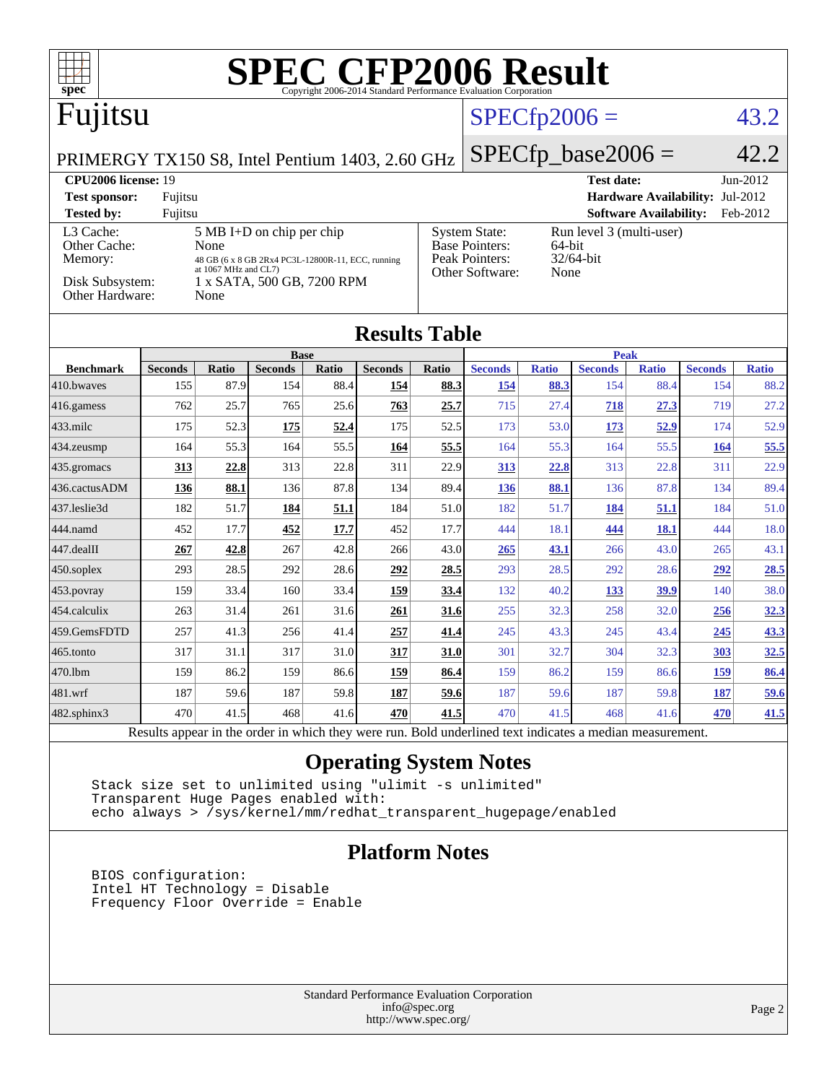| <b>SPEC CFP2006 Result</b><br>$\Box$<br>spec <sup>®</sup>                                                |                      |                      |                                                   |       |                |                |                                                                                     |              |                   |                               |                                 |              |
|----------------------------------------------------------------------------------------------------------|----------------------|----------------------|---------------------------------------------------|-------|----------------|----------------|-------------------------------------------------------------------------------------|--------------|-------------------|-------------------------------|---------------------------------|--------------|
| Fujitsu                                                                                                  |                      |                      |                                                   |       |                | $SPECfp2006 =$ |                                                                                     |              |                   |                               | 43.2                            |              |
| $SPECfp\_base2006 =$<br>PRIMERGY TX150 S8, Intel Pentium 1403, 2.60 GHz                                  |                      |                      |                                                   |       |                |                |                                                                                     | 42.2         |                   |                               |                                 |              |
| CPU2006 license: 19                                                                                      |                      |                      |                                                   |       |                |                |                                                                                     |              | <b>Test date:</b> |                               |                                 | Jun-2012     |
| <b>Test sponsor:</b>                                                                                     | Fujitsu              |                      |                                                   |       |                |                |                                                                                     |              |                   |                               | Hardware Availability: Jul-2012 |              |
| <b>Tested by:</b>                                                                                        | Fujitsu              |                      |                                                   |       |                |                |                                                                                     |              |                   | <b>Software Availability:</b> |                                 | Feb-2012     |
| L3 Cache:<br>Other Cache:                                                                                |                      | None                 | 5 MB I+D on chip per chip                         |       |                |                | <b>System State:</b><br>Run level 3 (multi-user)<br><b>Base Pointers:</b><br>64-bit |              |                   |                               |                                 |              |
| Memory:                                                                                                  |                      |                      | 48 GB (6 x 8 GB 2Rx4 PC3L-12800R-11, ECC, running |       |                |                | Peak Pointers:<br>32/64-bit                                                         |              |                   |                               |                                 |              |
| Disk Subsystem:                                                                                          |                      | at 1067 MHz and CL7) | 1 x SATA, 500 GB, 7200 RPM                        |       |                |                | Other Software:                                                                     | None         |                   |                               |                                 |              |
| Other Hardware:                                                                                          |                      | None                 |                                                   |       |                |                |                                                                                     |              |                   |                               |                                 |              |
|                                                                                                          | <b>Results Table</b> |                      |                                                   |       |                |                |                                                                                     |              |                   |                               |                                 |              |
|                                                                                                          |                      |                      | <b>Base</b>                                       |       |                |                |                                                                                     |              | <b>Peak</b>       |                               |                                 |              |
| <b>Benchmark</b>                                                                                         | <b>Seconds</b>       | <b>Ratio</b>         | <b>Seconds</b>                                    | Ratio | <b>Seconds</b> | Ratio          | <b>Seconds</b>                                                                      | <b>Ratio</b> | <b>Seconds</b>    | <b>Ratio</b>                  | <b>Seconds</b>                  | <b>Ratio</b> |
| 410.bwayes                                                                                               | 155                  | 87.9                 | 154                                               | 88.4  | 154            | 88.3           | <u>154</u>                                                                          | 88.3         | 154               | 88.4                          | 154                             | 88.2         |
| 416.gamess                                                                                               | 762                  | 25.7                 | 765                                               | 25.6  | 763            | 25.7           | 715                                                                                 | 27.4         | 718               | 27.3                          | 719                             | 27.2         |
| 433.milc                                                                                                 | 175                  | 52.3                 | 175                                               | 52.4  | 175            | 52.5           | 173                                                                                 | 53.0         | 173               | 52.9                          | 174                             | 52.9         |
| 434.zeusmp                                                                                               | 164                  | 55.3                 | 164                                               | 55.5  | 164            | 55.5           | 164                                                                                 | 55.3         | 164               | 55.5                          | 164                             | 55.5         |
| 435.gromacs                                                                                              | 313                  | 22.8                 | 313                                               | 22.8  | 311            | 22.9           | 313                                                                                 | 22.8         | 313               | 22.8                          | 311                             | 22.9         |
| 436.cactusADM                                                                                            | 136                  | 88.1                 | 136                                               | 87.8  | 134            | 89.4           | <u>136</u>                                                                          | 88.1         | 136               | 87.8                          | 134                             | 89.4         |
| 437.leslie3d                                                                                             | 182                  | 51.7                 | 184                                               | 51.1  | 184            | 51.0           | 182                                                                                 | 51.7         | 184               | 51.1                          | 184                             | 51.0         |
| 444.namd                                                                                                 | 452                  | 17.7                 | 452                                               | 17.7  | 452            | 17.7           | 444                                                                                 | 18.1         | 444               | 18.1                          | 444                             | 18.0         |
| 447.dealII                                                                                               | 267                  | 42.8                 | 267                                               | 42.8  | 266            | 43.0           | 265                                                                                 | 43.1         | 266               | 43.0                          | 265                             | 43.1         |
| $ 450$ .soplex                                                                                           | 293                  | 28.5                 | 292                                               | 28.6  | 292            | 28.5           | 293                                                                                 | 28.5         | 292               | 28.6                          | 292                             | 28.5         |
| 453. povray                                                                                              | 159                  | 33.4                 | 160                                               | 33.4  | 159            | 33.4           | 132                                                                                 | 40.2         | 133               | 39.9                          | 140                             | 38.0         |
| 454.calculix                                                                                             | 263                  | 31.4                 | 261                                               | 31.6  | 261            | 31.6           | 255                                                                                 | 32.3         | 258               | 32.0                          | 256                             | 32.3         |
| 459.GemsFDTD                                                                                             | 257                  | 41.3                 | 256                                               | 41.4  | 257            | 41.4           | 245                                                                                 | 43.3         | 245               | 43.4                          | <u>245</u>                      | 43.3         |
| 465.tonto                                                                                                | 317                  | 31.1                 | 317                                               | 31.0  | 317            | 31.0           | 301                                                                                 | 32.7         | 304               | 32.3                          | 303                             | 32.5         |
| 470.1bm                                                                                                  | 159                  | 86.2                 | 159                                               | 86.6  | 159            | 86.4           | 159                                                                                 | 86.2         | 159               | 86.6                          | 159                             | 86.4         |
| 481.wrf                                                                                                  | 187                  | 59.6                 | 187                                               | 59.8  | 187            | 59.6           | 187                                                                                 | 59.6         | 187               | 59.8                          | 187                             | 59.6         |
| 482.sphinx3                                                                                              | 470                  | 41.5                 | 468                                               | 41.6  | 470            | 41.5           | 470                                                                                 | 41.5         | 468               | 41.6                          | 470                             | 41.5         |
| Results appear in the order in which they were run. Bold underlined text indicates a median measurement. |                      |                      |                                                   |       |                |                |                                                                                     |              |                   |                               |                                 |              |

# **[Operating System Notes](http://www.spec.org/auto/cpu2006/Docs/result-fields.html#OperatingSystemNotes)**

 Stack size set to unlimited using "ulimit -s unlimited" Transparent Huge Pages enabled with: echo always > /sys/kernel/mm/redhat\_transparent\_hugepage/enabled

### **[Platform Notes](http://www.spec.org/auto/cpu2006/Docs/result-fields.html#PlatformNotes)**

 BIOS configuration: Intel HT Technology = Disable Frequency Floor Override = Enable

> Standard Performance Evaluation Corporation [info@spec.org](mailto:info@spec.org) <http://www.spec.org/>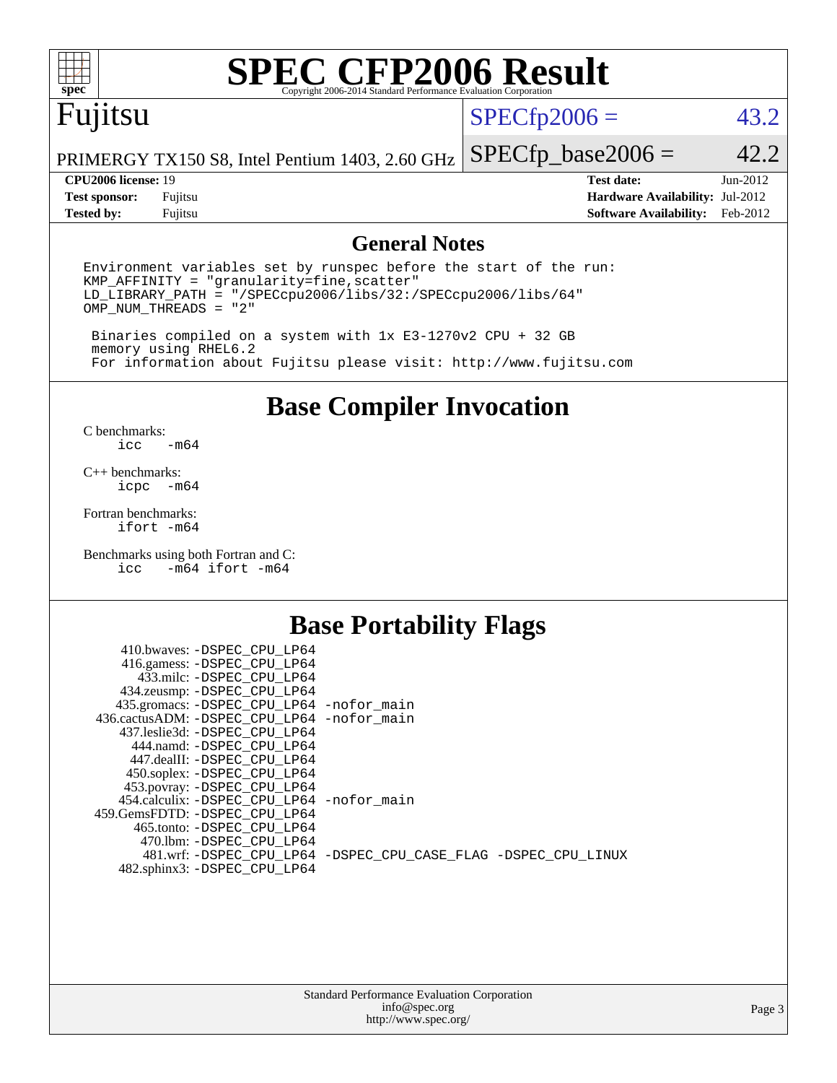

# **[SPEC CFP2006 Result](http://www.spec.org/auto/cpu2006/Docs/result-fields.html#SPECCFP2006Result)**

# Fujitsu

 $SPECfp2006 = 43.2$  $SPECfp2006 = 43.2$ 

PRIMERGY TX150 S8, Intel Pentium 1403, 2.60 GHz  $SPECTp\_base2006 = 42.2$ 

**[Tested by:](http://www.spec.org/auto/cpu2006/Docs/result-fields.html#Testedby)** Fujitsu **[Software Availability:](http://www.spec.org/auto/cpu2006/Docs/result-fields.html#SoftwareAvailability)** Feb-2012

**[CPU2006 license:](http://www.spec.org/auto/cpu2006/Docs/result-fields.html#CPU2006license)** 19 **[Test date:](http://www.spec.org/auto/cpu2006/Docs/result-fields.html#Testdate)** Jun-2012 **[Test sponsor:](http://www.spec.org/auto/cpu2006/Docs/result-fields.html#Testsponsor)** Fujitsu **[Hardware Availability:](http://www.spec.org/auto/cpu2006/Docs/result-fields.html#HardwareAvailability)** Jul-2012

### **[General Notes](http://www.spec.org/auto/cpu2006/Docs/result-fields.html#GeneralNotes)**

Environment variables set by runspec before the start of the run: KMP\_AFFINITY = "granularity=fine,scatter" LD\_LIBRARY\_PATH = "/SPECcpu2006/libs/32:/SPECcpu2006/libs/64" OMP\_NUM\_THREADS = "2"

 Binaries compiled on a system with 1x E3-1270v2 CPU + 32 GB memory using RHEL6.2 For information about Fujitsu please visit: <http://www.fujitsu.com>

**[Base Compiler Invocation](http://www.spec.org/auto/cpu2006/Docs/result-fields.html#BaseCompilerInvocation)**

 $C$  benchmarks:<br>icc  $-m64$ 

[C++ benchmarks:](http://www.spec.org/auto/cpu2006/Docs/result-fields.html#CXXbenchmarks) [icpc -m64](http://www.spec.org/cpu2006/results/res2012q3/cpu2006-20120810-24096.flags.html#user_CXXbase_intel_icpc_64bit_bedb90c1146cab66620883ef4f41a67e)

[Fortran benchmarks](http://www.spec.org/auto/cpu2006/Docs/result-fields.html#Fortranbenchmarks): [ifort -m64](http://www.spec.org/cpu2006/results/res2012q3/cpu2006-20120810-24096.flags.html#user_FCbase_intel_ifort_64bit_ee9d0fb25645d0210d97eb0527dcc06e)

[Benchmarks using both Fortran and C](http://www.spec.org/auto/cpu2006/Docs/result-fields.html#BenchmarksusingbothFortranandC): [icc -m64](http://www.spec.org/cpu2006/results/res2012q3/cpu2006-20120810-24096.flags.html#user_CC_FCbase_intel_icc_64bit_0b7121f5ab7cfabee23d88897260401c) [ifort -m64](http://www.spec.org/cpu2006/results/res2012q3/cpu2006-20120810-24096.flags.html#user_CC_FCbase_intel_ifort_64bit_ee9d0fb25645d0210d97eb0527dcc06e)

## **[Base Portability Flags](http://www.spec.org/auto/cpu2006/Docs/result-fields.html#BasePortabilityFlags)**

| 410.bwaves: -DSPEC CPU LP64                              |                                                                |
|----------------------------------------------------------|----------------------------------------------------------------|
| 416.gamess: -DSPEC_CPU_LP64<br>433.milc: -DSPEC CPU LP64 |                                                                |
| 434.zeusmp: - DSPEC_CPU_LP64                             |                                                                |
| 435.gromacs: -DSPEC_CPU_LP64 -nofor_main                 |                                                                |
| 436.cactusADM: -DSPEC CPU LP64 -nofor main               |                                                                |
| 437.leslie3d: -DSPEC CPU LP64                            |                                                                |
| 444.namd: -DSPEC CPU LP64                                |                                                                |
| 447.dealII: -DSPEC_CPU LP64                              |                                                                |
| 450.soplex: -DSPEC_CPU_LP64                              |                                                                |
| 453.povray: -DSPEC_CPU_LP64                              |                                                                |
| 454.calculix: -DSPEC CPU LP64 -nofor main                |                                                                |
| 459. GemsFDTD: - DSPEC CPU LP64                          |                                                                |
| 465.tonto: - DSPEC CPU LP64                              |                                                                |
| 470.1bm: - DSPEC_CPU LP64                                | 481.wrf: -DSPEC CPU_LP64 -DSPEC_CPU_CASE_FLAG -DSPEC_CPU_LINUX |
| 482.sphinx3: -DSPEC_CPU_LP64                             |                                                                |
|                                                          |                                                                |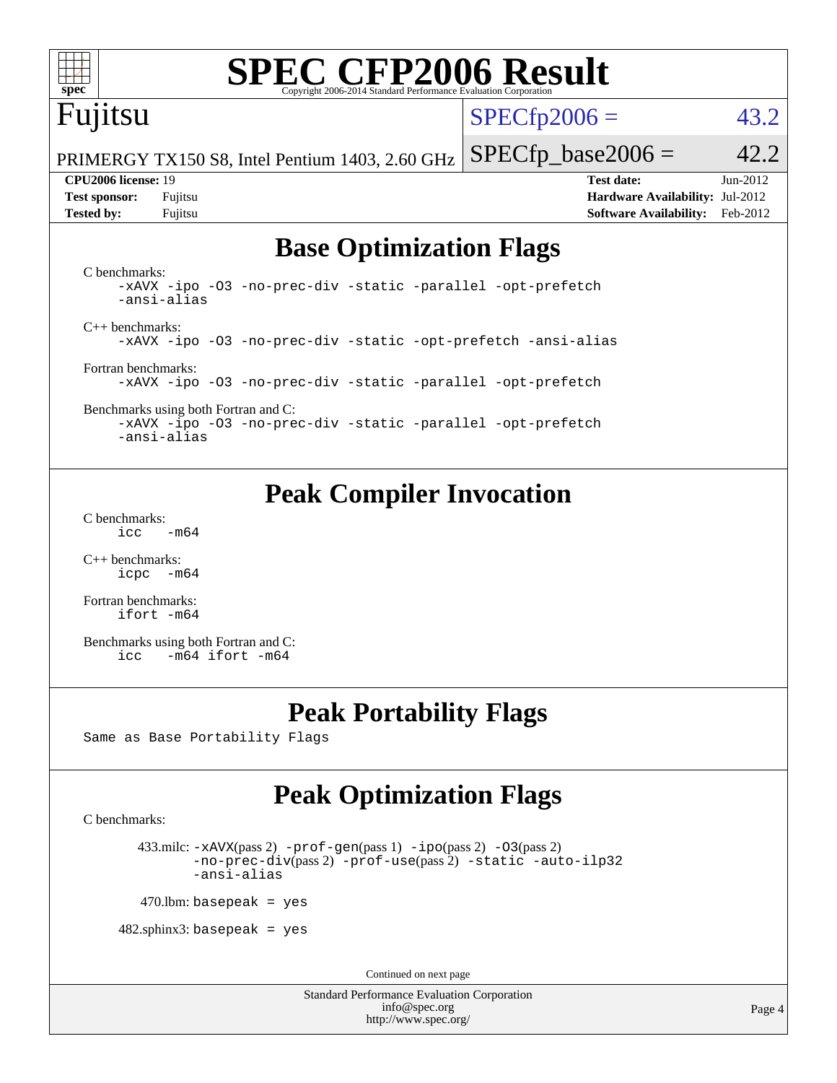

# **[SPEC CFP2006 Result](http://www.spec.org/auto/cpu2006/Docs/result-fields.html#SPECCFP2006Result)**

# Fujitsu

 $SPECTp2006 = 43.2$ 

PRIMERGY TX150 S8, Intel Pentium 1403, 2.60 GHz  $SPECTp\_base2006 = 42.2$ 

**[CPU2006 license:](http://www.spec.org/auto/cpu2006/Docs/result-fields.html#CPU2006license)** 19 **[Test date:](http://www.spec.org/auto/cpu2006/Docs/result-fields.html#Testdate)** Jun-2012 **[Test sponsor:](http://www.spec.org/auto/cpu2006/Docs/result-fields.html#Testsponsor)** Fujitsu **[Hardware Availability:](http://www.spec.org/auto/cpu2006/Docs/result-fields.html#HardwareAvailability)** Jul-2012 **[Tested by:](http://www.spec.org/auto/cpu2006/Docs/result-fields.html#Testedby)** Fujitsu **[Software Availability:](http://www.spec.org/auto/cpu2006/Docs/result-fields.html#SoftwareAvailability)** Feb-2012

# **[Base Optimization Flags](http://www.spec.org/auto/cpu2006/Docs/result-fields.html#BaseOptimizationFlags)**

[C benchmarks](http://www.spec.org/auto/cpu2006/Docs/result-fields.html#Cbenchmarks): [-xAVX](http://www.spec.org/cpu2006/results/res2012q3/cpu2006-20120810-24096.flags.html#user_CCbase_f-xAVX) [-ipo](http://www.spec.org/cpu2006/results/res2012q3/cpu2006-20120810-24096.flags.html#user_CCbase_f-ipo) [-O3](http://www.spec.org/cpu2006/results/res2012q3/cpu2006-20120810-24096.flags.html#user_CCbase_f-O3) [-no-prec-div](http://www.spec.org/cpu2006/results/res2012q3/cpu2006-20120810-24096.flags.html#user_CCbase_f-no-prec-div) [-static](http://www.spec.org/cpu2006/results/res2012q3/cpu2006-20120810-24096.flags.html#user_CCbase_f-static) [-parallel](http://www.spec.org/cpu2006/results/res2012q3/cpu2006-20120810-24096.flags.html#user_CCbase_f-parallel) [-opt-prefetch](http://www.spec.org/cpu2006/results/res2012q3/cpu2006-20120810-24096.flags.html#user_CCbase_f-opt-prefetch) [-ansi-alias](http://www.spec.org/cpu2006/results/res2012q3/cpu2006-20120810-24096.flags.html#user_CCbase_f-ansi-alias) [C++ benchmarks:](http://www.spec.org/auto/cpu2006/Docs/result-fields.html#CXXbenchmarks) [-xAVX](http://www.spec.org/cpu2006/results/res2012q3/cpu2006-20120810-24096.flags.html#user_CXXbase_f-xAVX) [-ipo](http://www.spec.org/cpu2006/results/res2012q3/cpu2006-20120810-24096.flags.html#user_CXXbase_f-ipo) [-O3](http://www.spec.org/cpu2006/results/res2012q3/cpu2006-20120810-24096.flags.html#user_CXXbase_f-O3) [-no-prec-div](http://www.spec.org/cpu2006/results/res2012q3/cpu2006-20120810-24096.flags.html#user_CXXbase_f-no-prec-div) [-static](http://www.spec.org/cpu2006/results/res2012q3/cpu2006-20120810-24096.flags.html#user_CXXbase_f-static) [-opt-prefetch](http://www.spec.org/cpu2006/results/res2012q3/cpu2006-20120810-24096.flags.html#user_CXXbase_f-opt-prefetch) [-ansi-alias](http://www.spec.org/cpu2006/results/res2012q3/cpu2006-20120810-24096.flags.html#user_CXXbase_f-ansi-alias) [Fortran benchmarks](http://www.spec.org/auto/cpu2006/Docs/result-fields.html#Fortranbenchmarks): [-xAVX](http://www.spec.org/cpu2006/results/res2012q3/cpu2006-20120810-24096.flags.html#user_FCbase_f-xAVX) [-ipo](http://www.spec.org/cpu2006/results/res2012q3/cpu2006-20120810-24096.flags.html#user_FCbase_f-ipo) [-O3](http://www.spec.org/cpu2006/results/res2012q3/cpu2006-20120810-24096.flags.html#user_FCbase_f-O3) [-no-prec-div](http://www.spec.org/cpu2006/results/res2012q3/cpu2006-20120810-24096.flags.html#user_FCbase_f-no-prec-div) [-static](http://www.spec.org/cpu2006/results/res2012q3/cpu2006-20120810-24096.flags.html#user_FCbase_f-static) [-parallel](http://www.spec.org/cpu2006/results/res2012q3/cpu2006-20120810-24096.flags.html#user_FCbase_f-parallel) [-opt-prefetch](http://www.spec.org/cpu2006/results/res2012q3/cpu2006-20120810-24096.flags.html#user_FCbase_f-opt-prefetch)

[Benchmarks using both Fortran and C](http://www.spec.org/auto/cpu2006/Docs/result-fields.html#BenchmarksusingbothFortranandC): [-xAVX](http://www.spec.org/cpu2006/results/res2012q3/cpu2006-20120810-24096.flags.html#user_CC_FCbase_f-xAVX) [-ipo](http://www.spec.org/cpu2006/results/res2012q3/cpu2006-20120810-24096.flags.html#user_CC_FCbase_f-ipo) [-O3](http://www.spec.org/cpu2006/results/res2012q3/cpu2006-20120810-24096.flags.html#user_CC_FCbase_f-O3) [-no-prec-div](http://www.spec.org/cpu2006/results/res2012q3/cpu2006-20120810-24096.flags.html#user_CC_FCbase_f-no-prec-div) [-static](http://www.spec.org/cpu2006/results/res2012q3/cpu2006-20120810-24096.flags.html#user_CC_FCbase_f-static) [-parallel](http://www.spec.org/cpu2006/results/res2012q3/cpu2006-20120810-24096.flags.html#user_CC_FCbase_f-parallel) [-opt-prefetch](http://www.spec.org/cpu2006/results/res2012q3/cpu2006-20120810-24096.flags.html#user_CC_FCbase_f-opt-prefetch) [-ansi-alias](http://www.spec.org/cpu2006/results/res2012q3/cpu2006-20120810-24096.flags.html#user_CC_FCbase_f-ansi-alias)

# **[Peak Compiler Invocation](http://www.spec.org/auto/cpu2006/Docs/result-fields.html#PeakCompilerInvocation)**

[C benchmarks](http://www.spec.org/auto/cpu2006/Docs/result-fields.html#Cbenchmarks):  $\text{icc}$  -m64

[C++ benchmarks:](http://www.spec.org/auto/cpu2006/Docs/result-fields.html#CXXbenchmarks) [icpc -m64](http://www.spec.org/cpu2006/results/res2012q3/cpu2006-20120810-24096.flags.html#user_CXXpeak_intel_icpc_64bit_bedb90c1146cab66620883ef4f41a67e)

[Fortran benchmarks](http://www.spec.org/auto/cpu2006/Docs/result-fields.html#Fortranbenchmarks): [ifort -m64](http://www.spec.org/cpu2006/results/res2012q3/cpu2006-20120810-24096.flags.html#user_FCpeak_intel_ifort_64bit_ee9d0fb25645d0210d97eb0527dcc06e)

[Benchmarks using both Fortran and C](http://www.spec.org/auto/cpu2006/Docs/result-fields.html#BenchmarksusingbothFortranandC): [icc -m64](http://www.spec.org/cpu2006/results/res2012q3/cpu2006-20120810-24096.flags.html#user_CC_FCpeak_intel_icc_64bit_0b7121f5ab7cfabee23d88897260401c) [ifort -m64](http://www.spec.org/cpu2006/results/res2012q3/cpu2006-20120810-24096.flags.html#user_CC_FCpeak_intel_ifort_64bit_ee9d0fb25645d0210d97eb0527dcc06e)

# **[Peak Portability Flags](http://www.spec.org/auto/cpu2006/Docs/result-fields.html#PeakPortabilityFlags)**

Same as Base Portability Flags

# **[Peak Optimization Flags](http://www.spec.org/auto/cpu2006/Docs/result-fields.html#PeakOptimizationFlags)**

[C benchmarks](http://www.spec.org/auto/cpu2006/Docs/result-fields.html#Cbenchmarks):

```
433.milc: -xAVX(pass 2) -prof-gen(pass 1) -ppo(pass 2) -03(pass 2)
-no-prec-div(pass 2) -prof-use(pass 2) -static -auto-ilp32
-ansi-alias
```
 $470$ .lbm: basepeak = yes

 $482$ .sphinx3: basepeak = yes

Continued on next page

Standard Performance Evaluation Corporation [info@spec.org](mailto:info@spec.org) <http://www.spec.org/>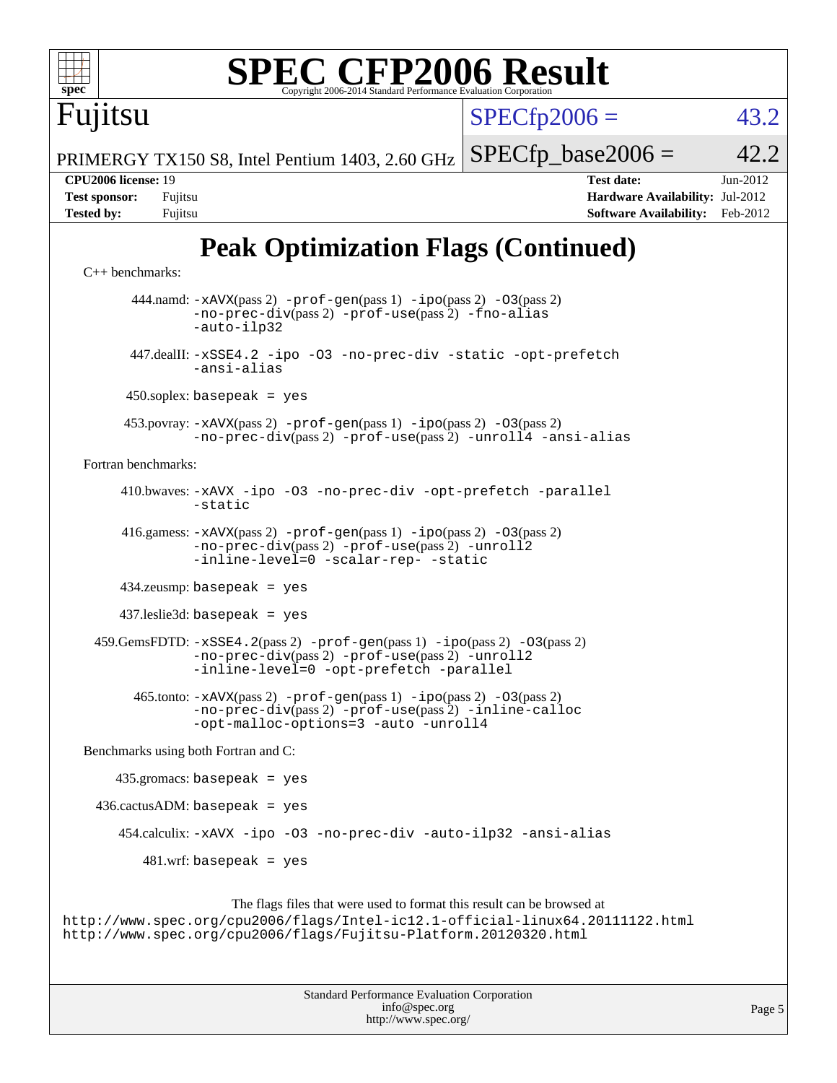

 416.gamess: [-xAVX](http://www.spec.org/cpu2006/results/res2012q3/cpu2006-20120810-24096.flags.html#user_peakPASS2_FFLAGSPASS2_LDFLAGS416_gamess_f-xAVX)(pass 2) [-prof-gen](http://www.spec.org/cpu2006/results/res2012q3/cpu2006-20120810-24096.flags.html#user_peakPASS1_FFLAGSPASS1_LDFLAGS416_gamess_prof_gen_e43856698f6ca7b7e442dfd80e94a8fc)(pass 1) [-ipo](http://www.spec.org/cpu2006/results/res2012q3/cpu2006-20120810-24096.flags.html#user_peakPASS2_FFLAGSPASS2_LDFLAGS416_gamess_f-ipo)(pass 2) [-O3](http://www.spec.org/cpu2006/results/res2012q3/cpu2006-20120810-24096.flags.html#user_peakPASS2_FFLAGSPASS2_LDFLAGS416_gamess_f-O3)(pass 2) [-no-prec-div](http://www.spec.org/cpu2006/results/res2012q3/cpu2006-20120810-24096.flags.html#user_peakPASS2_FFLAGSPASS2_LDFLAGS416_gamess_f-no-prec-div)(pass 2) [-prof-use](http://www.spec.org/cpu2006/results/res2012q3/cpu2006-20120810-24096.flags.html#user_peakPASS2_FFLAGSPASS2_LDFLAGS416_gamess_prof_use_bccf7792157ff70d64e32fe3e1250b55)(pass 2) [-unroll2](http://www.spec.org/cpu2006/results/res2012q3/cpu2006-20120810-24096.flags.html#user_peakOPTIMIZE416_gamess_f-unroll_784dae83bebfb236979b41d2422d7ec2) [-inline-level=0](http://www.spec.org/cpu2006/results/res2012q3/cpu2006-20120810-24096.flags.html#user_peakOPTIMIZE416_gamess_f-inline-level_318d07a09274ad25e8d15dbfaa68ba50) [-scalar-rep-](http://www.spec.org/cpu2006/results/res2012q3/cpu2006-20120810-24096.flags.html#user_peakOPTIMIZE416_gamess_f-disablescalarrep_abbcad04450fb118e4809c81d83c8a1d) [-static](http://www.spec.org/cpu2006/results/res2012q3/cpu2006-20120810-24096.flags.html#user_peakOPTIMIZE416_gamess_f-static)

434.zeusmp: basepeak = yes

437.leslie3d: basepeak = yes

 $459.GemsFDD: -xSSE4.2(pass 2) -prof-gen(pass 1) -ipo(pass 2) -O3(pass 2)$  $459.GemsFDD: -xSSE4.2(pass 2) -prof-gen(pass 1) -ipo(pass 2) -O3(pass 2)$  $459.GemsFDD: -xSSE4.2(pass 2) -prof-gen(pass 1) -ipo(pass 2) -O3(pass 2)$  $459.GemsFDD: -xSSE4.2(pass 2) -prof-gen(pass 1) -ipo(pass 2) -O3(pass 2)$  $459.GemsFDD: -xSSE4.2(pass 2) -prof-gen(pass 1) -ipo(pass 2) -O3(pass 2)$  $459.GemsFDD: -xSSE4.2(pass 2) -prof-gen(pass 1) -ipo(pass 2) -O3(pass 2)$  $459.GemsFDD: -xSSE4.2(pass 2) -prof-gen(pass 1) -ipo(pass 2) -O3(pass 2)$  $459.GemsFDD: -xSSE4.2(pass 2) -prof-gen(pass 1) -ipo(pass 2) -O3(pass 2)$  $459.GemsFDD: -xSSE4.2(pass 2) -prof-gen(pass 1) -ipo(pass 2) -O3(pass 2)$ [-no-prec-div](http://www.spec.org/cpu2006/results/res2012q3/cpu2006-20120810-24096.flags.html#user_peakPASS2_FFLAGSPASS2_LDFLAGS459_GemsFDTD_f-no-prec-div)(pass 2) [-prof-use](http://www.spec.org/cpu2006/results/res2012q3/cpu2006-20120810-24096.flags.html#user_peakPASS2_FFLAGSPASS2_LDFLAGS459_GemsFDTD_prof_use_bccf7792157ff70d64e32fe3e1250b55)(pass 2) [-unroll2](http://www.spec.org/cpu2006/results/res2012q3/cpu2006-20120810-24096.flags.html#user_peakOPTIMIZE459_GemsFDTD_f-unroll_784dae83bebfb236979b41d2422d7ec2) [-inline-level=0](http://www.spec.org/cpu2006/results/res2012q3/cpu2006-20120810-24096.flags.html#user_peakOPTIMIZE459_GemsFDTD_f-inline-level_318d07a09274ad25e8d15dbfaa68ba50) [-opt-prefetch](http://www.spec.org/cpu2006/results/res2012q3/cpu2006-20120810-24096.flags.html#user_peakOPTIMIZE459_GemsFDTD_f-opt-prefetch) [-parallel](http://www.spec.org/cpu2006/results/res2012q3/cpu2006-20120810-24096.flags.html#user_peakOPTIMIZE459_GemsFDTD_f-parallel)

 465.tonto: [-xAVX](http://www.spec.org/cpu2006/results/res2012q3/cpu2006-20120810-24096.flags.html#user_peakPASS2_FFLAGSPASS2_LDFLAGS465_tonto_f-xAVX)(pass 2) [-prof-gen](http://www.spec.org/cpu2006/results/res2012q3/cpu2006-20120810-24096.flags.html#user_peakPASS1_FFLAGSPASS1_LDFLAGS465_tonto_prof_gen_e43856698f6ca7b7e442dfd80e94a8fc)(pass 1) [-ipo](http://www.spec.org/cpu2006/results/res2012q3/cpu2006-20120810-24096.flags.html#user_peakPASS2_FFLAGSPASS2_LDFLAGS465_tonto_f-ipo)(pass 2) [-O3](http://www.spec.org/cpu2006/results/res2012q3/cpu2006-20120810-24096.flags.html#user_peakPASS2_FFLAGSPASS2_LDFLAGS465_tonto_f-O3)(pass 2) [-no-prec-div](http://www.spec.org/cpu2006/results/res2012q3/cpu2006-20120810-24096.flags.html#user_peakPASS2_FFLAGSPASS2_LDFLAGS465_tonto_f-no-prec-div)(pass 2) [-prof-use](http://www.spec.org/cpu2006/results/res2012q3/cpu2006-20120810-24096.flags.html#user_peakPASS2_FFLAGSPASS2_LDFLAGS465_tonto_prof_use_bccf7792157ff70d64e32fe3e1250b55)(pass 2) [-inline-calloc](http://www.spec.org/cpu2006/results/res2012q3/cpu2006-20120810-24096.flags.html#user_peakOPTIMIZE465_tonto_f-inline-calloc) [-opt-malloc-options=3](http://www.spec.org/cpu2006/results/res2012q3/cpu2006-20120810-24096.flags.html#user_peakOPTIMIZE465_tonto_f-opt-malloc-options_13ab9b803cf986b4ee62f0a5998c2238) [-auto](http://www.spec.org/cpu2006/results/res2012q3/cpu2006-20120810-24096.flags.html#user_peakOPTIMIZE465_tonto_f-auto) [-unroll4](http://www.spec.org/cpu2006/results/res2012q3/cpu2006-20120810-24096.flags.html#user_peakOPTIMIZE465_tonto_f-unroll_4e5e4ed65b7fd20bdcd365bec371b81f)

[Benchmarks using both Fortran and C](http://www.spec.org/auto/cpu2006/Docs/result-fields.html#BenchmarksusingbothFortranandC):

435.gromacs: basepeak = yes

 $436.cactusADM:basepeak = yes$ 

454.calculix: [-xAVX](http://www.spec.org/cpu2006/results/res2012q3/cpu2006-20120810-24096.flags.html#user_peakOPTIMIZE454_calculix_f-xAVX) [-ipo](http://www.spec.org/cpu2006/results/res2012q3/cpu2006-20120810-24096.flags.html#user_peakOPTIMIZE454_calculix_f-ipo) [-O3](http://www.spec.org/cpu2006/results/res2012q3/cpu2006-20120810-24096.flags.html#user_peakOPTIMIZE454_calculix_f-O3) [-no-prec-div](http://www.spec.org/cpu2006/results/res2012q3/cpu2006-20120810-24096.flags.html#user_peakOPTIMIZE454_calculix_f-no-prec-div) [-auto-ilp32](http://www.spec.org/cpu2006/results/res2012q3/cpu2006-20120810-24096.flags.html#user_peakCOPTIMIZE454_calculix_f-auto-ilp32) [-ansi-alias](http://www.spec.org/cpu2006/results/res2012q3/cpu2006-20120810-24096.flags.html#user_peakCOPTIMIZE454_calculix_f-ansi-alias)

 $481$ .wrf: basepeak = yes

The flags files that were used to format this result can be browsed at <http://www.spec.org/cpu2006/flags/Intel-ic12.1-official-linux64.20111122.html> <http://www.spec.org/cpu2006/flags/Fujitsu-Platform.20120320.html>

> Standard Performance Evaluation Corporation [info@spec.org](mailto:info@spec.org) <http://www.spec.org/>